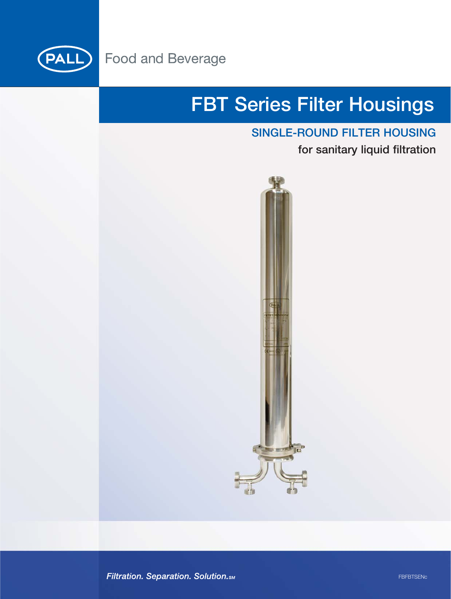

## **FBT Series Filter Housings**

### **SINGLE-ROUND FILTER HOUSING**

**for sanitary liquid filtration** 



Filtration. Separation. Solution. SM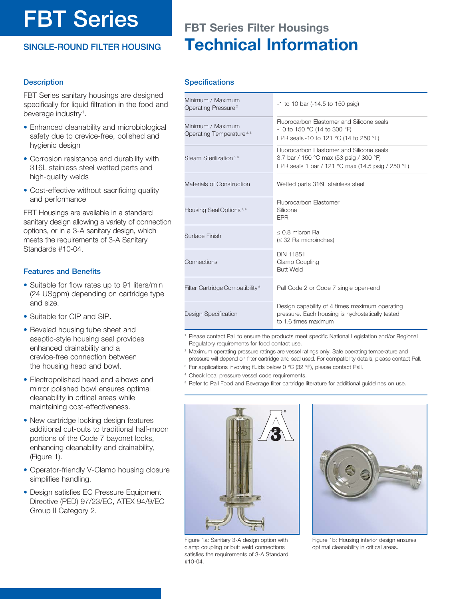# **FBT Series**

### **SINGLE-ROUND FILTER HOUSING**

## **FBT Series Filter Housings Technical Information**

### **Description**

FBT Series sanitary housings are designed specifically for liquid filtration in the food and beverage industry<sup>1</sup>.

- Enhanced cleanability and microbiological safety due to crevice-free, polished and hygienic design
- Corrosion resistance and durability with 316L stainless steel wetted parts and high-quality welds
- Cost-effective without sacrificing quality and performance

FBT Housings are available in a standard sanitary design allowing a variety of connection options, or in a 3-A sanitary design, which meets the requirements of 3-A Sanitary Standards #10-04.

### **Features and Benefits**

- Suitable for flow rates up to 91 liters/min (24 USgpm) depending on cartridge type and size.
- Suitable for CIP and SIP.
- Beveled housing tube sheet and aseptic-style housing seal provides enhanced drainability and a crevice-free connection between the housing head and bowl.
- Electropolished head and elbows and mirror polished bowl ensures optimal cleanability in critical areas while maintaining cost-effectiveness.
- New cartridge locking design features additional cut-outs to traditional half-moon portions of the Code 7 bayonet locks, enhancing cleanability and drainability, (Figure 1).
- Operator-friendly V-Clamp housing closure simplifies handling.
- Design satisfies EC Pressure Equipment Directive (PED) 97/23/EC, ATEX 94/9/EC Group II Category 2.

### **Specifications**

| Minimum / Maximum<br>Operating Pressure <sup>2</sup>      | $-1$ to 10 bar ( $-14.5$ to 150 psig)                                                                                                     |
|-----------------------------------------------------------|-------------------------------------------------------------------------------------------------------------------------------------------|
| Minimum / Maximum<br>Operating Temperature <sup>3,5</sup> | Fluorocarbon Elastomer and Silicone seals<br>-10 to 150 °C (14 to 300 °F)<br>EPR seals -10 to 121 °C (14 to 250 °F)                       |
| Steam Sterilization <sup>3, 5</sup>                       | Fluorocarbon Elastomer and Silicone seals<br>3.7 bar / 150 °C max (53 psig / 300 °F)<br>EPR seals 1 bar / 121 °C max (14.5 psig / 250 °F) |
| Materials of Construction                                 | Wetted parts 316L stainless steel                                                                                                         |
| Housing Seal Options <sup>1,4</sup>                       | Fluorocarbon Elastomer<br>Silicone<br><b>EPR</b>                                                                                          |
| Surface Finish                                            | $\leq$ 0.8 micron Ra<br>$(32 Ra microinches)$                                                                                             |
| Connections                                               | <b>DIN 11851</b><br>Clamp Coupling<br><b>Butt Weld</b>                                                                                    |
| Filter Cartridge Compatibility <sup>5</sup>               | Pall Code 2 or Code 7 single open-end                                                                                                     |
| Design Specification                                      | Design capability of 4 times maximum operating<br>pressure. Each housing is hydrostatically tested<br>to 1.6 times maximum                |

- Please contact Pall to ensure the products meet specific National Legislation and/or Regional Regulatory requirements for food contact use.
- <sup>2</sup> Maximum operating pressure ratings are vessel ratings only. Safe operating temperature and pressure will depend on filter cartridge and seal used. For compatibility details, please contact Pall.
- For applications involving fluids below 0 °C (32 °F), please contact Pall.
- Check local pressure vessel code requirements.
- <sup>5</sup> Refer to Pall Food and Beverage filter cartridge literature for additional guidelines on use.



Figure 1a: Sanitary 3-A design option with clamp coupling or butt weld connections satisfies the requirements of 3-A Standard #10-04.



Figure 1b: Housing interior design ensures optimal cleanability in critical areas.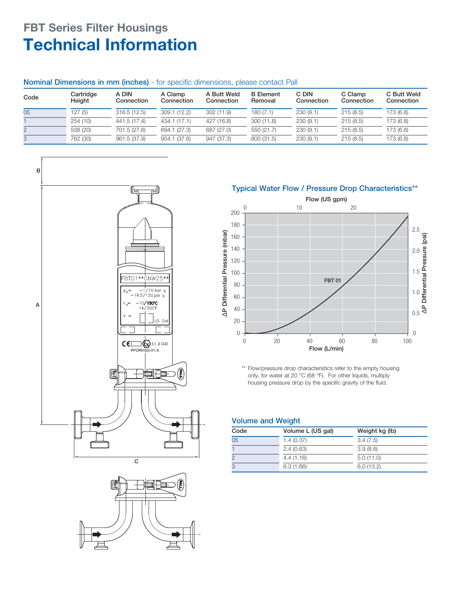### **FBT Series Filter Housings Technical Information**

### **Nominal Dimensions in mm (inches)** - for specific dimensions, please contact Pall

| Code | Cartridge<br>Height | A DIN<br>Connection | A Clamp<br>Connection | A Butt Weld<br>Connection | <b>B</b> Element<br>Removal | C DIN<br>Connection | C Clamp<br>Connection | C Butt Weld<br>Connection |
|------|---------------------|---------------------|-----------------------|---------------------------|-----------------------------|---------------------|-----------------------|---------------------------|
| 05   | 127(5)              | 316.5(12.5)         | 309.1(12.2)           | 302 (11.9)                | 180 (7.1)                   | 230(9.1)            | 215(8.5)              | 173 (6.8)                 |
|      | 254(10)             | 441.5 (17.4)        | 434.1 (17.1)          | 427 (16.8)                | 300 (11.8)                  | 230(9.1)            | 215(8.5)              | 173 (6.8)                 |
|      | 508 (20)            | 701.5 (27.6)        | 694.1 (27.3)          | 687 (27.0)                | 550 (21.7)                  | 230(9.1)            | 215(8.5)              | 173 (6.8)                 |
| 3    | 762 (30)            | 961.5 (37.9)        | 954.1 (37.6)          | 947 (37.3)                | 800 (31.5)                  | 230(9.1)            | 215(8.5)              | 173 (6.8)                 |





### **Typical Water Flow / Pressure Drop Characteristics\*\***



\*\* Flow/pressure drop characteristics refer to the empty housing only, for water at 20 °C (68 °F). For other liquids, multiply housing pressure drop by the specific gravity of the fluid.

### **Volume and Weight**

| Code | Volume L (US gal) | Weight kg (lb) |
|------|-------------------|----------------|
| 05   | 1.4(0.37)         | 3.4(7.5)       |
|      | 2.4(0.63)         | 3.9(8.6)       |
|      | 4.4(1.16)         | 5.0(11.0)      |
|      | 6.3(1.66)         | 6.0(13.2)      |